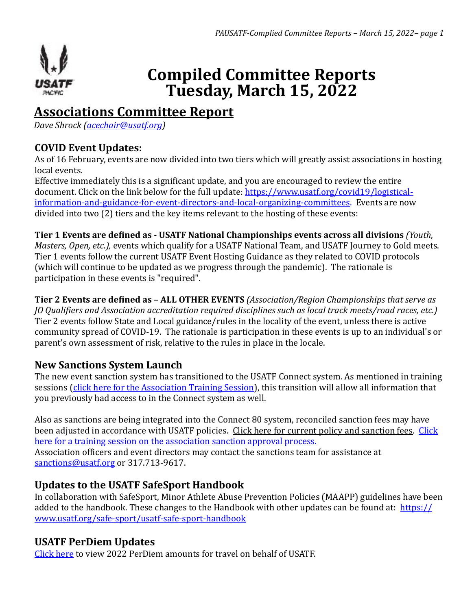

# **Compiled Committee Reports Tuesday, March 15, 2022**

## **Associations Committee Report**

*Dave Shrock ([acechair@usatf.org](mailto:acechair@usatf.org))*

## **COVID Event Updates:**

As of 16 February, events are now divided into two tiers which will greatly assist associations in hosting local events.

Effective immediately this is a significant update, and you are encouraged to review the entire document. Click on the link below for the full update: https://www.usatf.org/covid19/logistical[information-and-guidance-for-event-directors-and-local-organizing-committees](https://www.usatf.org/covid19/logistical-information-and-guidance-for-event-directors-and-local-organizing-committees). Events are now divided into two  $(2)$  tiers and the key items relevant to the hosting of these events:

**Tier 1 Events are defined as - USATF National Championships events across all divisions** *(Youth, Masters, Open, etc.),* events which qualify for a USATF National Team, and USATF Journey to Gold meets. Tier 1 events follow the current USATF Event Hosting Guidance as they related to COVID protocols (which will continue to be updated as we progress through the pandemic). The rationale is participation in these events is "required".

**Tier 2 Events are defined as - ALL OTHER EVENTS** *(Association/Region Championships that serve as JO* Qualifiers and Association accreditation required disciplines such as local track meets/road races, etc.) Tier 2 events follow State and Local guidance/rules in the locality of the event, unless there is active community spread of COVID-19. The rationale is participation in these events is up to an individual's or parent's own assessment of risk, relative to the rules in place in the locale.

## **New Sanctions System Launch**

The new event sanction system has transitioned to the USATF Connect system. As mentioned in training sessions (click here for the Association Training Session), this transition will allow all information that you previously had access to in the Connect system as well.

Also as sanctions are being integrated into the Connect 80 system, reconciled sanction fees may have been adjusted in accordance with USATF policies. Click here for current policy and sanction fees. Click here for a training session on the association sanction approval process. Association officers and event directors may contact the sanctions team for assistance at

[sanctions@usatf.org](mailto:sanctions@usatf.org) or 317.713-9617.

## **Updates to the USATF SafeSport Handbook**

In collaboration with SafeSport, Minor Athlete Abuse Prevention Policies (MAAPP) guidelines have been added to the handbook. These changes to the Handbook with other updates can be found at:  $\frac{https://}{https://}$ [www.usatf.org/safe-sport/usatf-safe-sport-handbook](https://www.usatf.org/safe-sport/usatf-safe-sport-handbook)

## **USATF PerDiem Updates**

Click here to view 2022 PerDiem amounts for travel on behalf of USATF.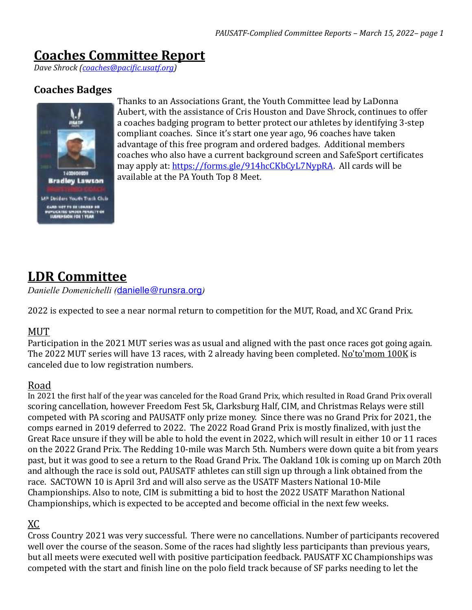## **Coaches Committee Report**

*Dave Shrock [\(coaches@pacific.usatf.org\)](mailto:coaches@pacific.usatf.org)*

### **Coaches Badges**



Thanks to an Associations Grant, the Youth Committee lead by LaDonna Aubert, with the assistance of Cris Houston and Dave Shrock, continues to offer a coaches badging program to better protect our athletes by identifying 3-step compliant coaches. Since it's start one year ago, 96 coaches have taken advantage of this free program and ordered badges. Additional members coaches who also have a current background screen and SafeSport certificates may apply at: https://forms.gle/914hcCKbCyL7NypRA. All cards will be available at the PA Youth Top 8 Meet.

## **LDR Committee**

*Danielle Domenichelli (*[danielle@runsra.org](mailto:danielle@runsra.org)*)*

2022 is expected to see a near normal return to competition for the MUT, Road, and XC Grand Prix.

#### MUT

Participation in the 2021 MUT series was as usual and aligned with the past once races got going again. The 2022 MUT series will have 13 races, with 2 already having been completed. No'to'mom 100K is canceled due to low registration numbers.

#### Road

In 2021 the first half of the year was canceled for the Road Grand Prix, which resulted in Road Grand Prix overall scoring cancellation, however Freedom Fest 5k, Clarksburg Half, CIM, and Christmas Relays were still competed with PA scoring and PAUSATF only prize money. Since there was no Grand Prix for 2021, the comps earned in 2019 deferred to 2022. The 2022 Road Grand Prix is mostly finalized, with just the Great Race unsure if they will be able to hold the event in 2022, which will result in either 10 or 11 races on the 2022 Grand Prix. The Redding 10-mile was March 5th. Numbers were down quite a bit from years past, but it was good to see a return to the Road Grand Prix. The Oakland 10k is coming up on March 20th and although the race is sold out, PAUSATF athletes can still sign up through a link obtained from the race. SACTOWN 10 is April 3rd and will also serve as the USATF Masters National 10-Mile Championships. Also to note, CIM is submitting a bid to host the 2022 USATF Marathon National Championships, which is expected to be accepted and become official in the next few weeks.

#### XC

Cross Country 2021 was very successful. There were no cancellations. Number of participants recovered well over the course of the season. Some of the races had slightly less participants than previous years, but all meets were executed well with positive participation feedback. PAUSATF XC Championships was competed with the start and finish line on the polo field track because of SF parks needing to let the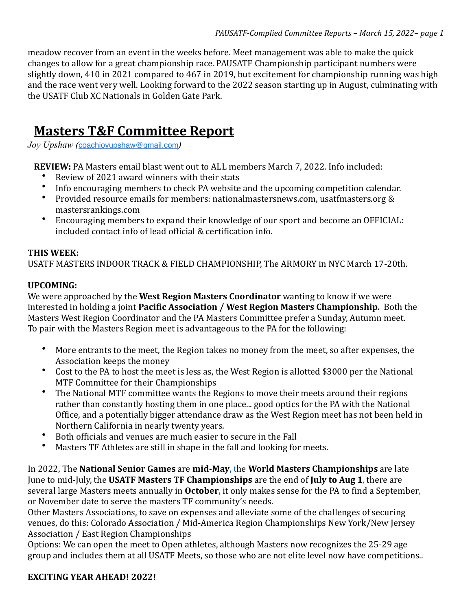meadow recover from an event in the weeks before. Meet management was able to make the quick changes to allow for a great championship race. PAUSATF Championship participant numbers were slightly down, 410 in 2021 compared to 467 in 2019, but excitement for championship running was high and the race went very well. Looking forward to the 2022 season starting up in August, culminating with the USATF Club XC Nationals in Golden Gate Park.

## **Masters T&F Committee Report**

*Joy Upshaw (*[coachjoyupshaw@gmail.com](mailto:coachjoyupshaw@gmail.com)*)*

**REVIEW:** PA Masters email blast went out to ALL members March 7, 2022. Info included:

- Review of 2021 award winners with their stats
- Info encouraging members to check PA website and the upcoming competition calendar.
- Provided resource emails for members: nationalmastersnews.com, usatfmasters.org & mastersrankings.com
- Encouraging members to expand their knowledge of our sport and become an OFFICIAL: included contact info of lead official & certification info.

#### **THIS WEEK:**

USATF MASTERS INDOOR TRACK & FIELD CHAMPIONSHIP, The ARMORY in NYC March 17-20th.

#### **UPCOMING:**

We were approached by the **West Region Masters Coordinator** wanting to know if we were interested in holding a joint **Pacific Association / West Region Masters Championship.** Both the Masters West Region Coordinator and the PA Masters Committee prefer a Sunday, Autumn meet. To pair with the Masters Region meet is advantageous to the PA for the following:

- More entrants to the meet, the Region takes no money from the meet, so after expenses, the Association keeps the money
- Cost to the PA to host the meet is less as, the West Region is allotted \$3000 per the National MTF Committee for their Championships
- The National MTF committee wants the Regions to move their meets around their regions rather than constantly hosting them in one place... good optics for the PA with the National Office, and a potentially bigger attendance draw as the West Region meet has not been held in Northern California in nearly twenty years.
- Both officials and venues are much easier to secure in the Fall
- Masters TF Athletes are still in shape in the fall and looking for meets.

In 2022, The National Senior Games are mid-May, the World Masters Championships are late June to mid-July, the USATF Masters TF Championships are the end of July to Aug 1, there are several large Masters meets annually in **October**, it only makes sense for the PA to find a September, or November date to serve the masters TF community's needs.

Other Masters Associations, to save on expenses and alleviate some of the challenges of securing venues, do this: Colorado Association / Mid-America Region Championships New York/New Jersey Association / East Region Championships

Options: We can open the meet to Open athletes, although Masters now recognizes the 25-29 age group and includes them at all USATF Meets, so those who are not elite level now have competitions..

#### EXCITING YEAR AHEAD! 2022!